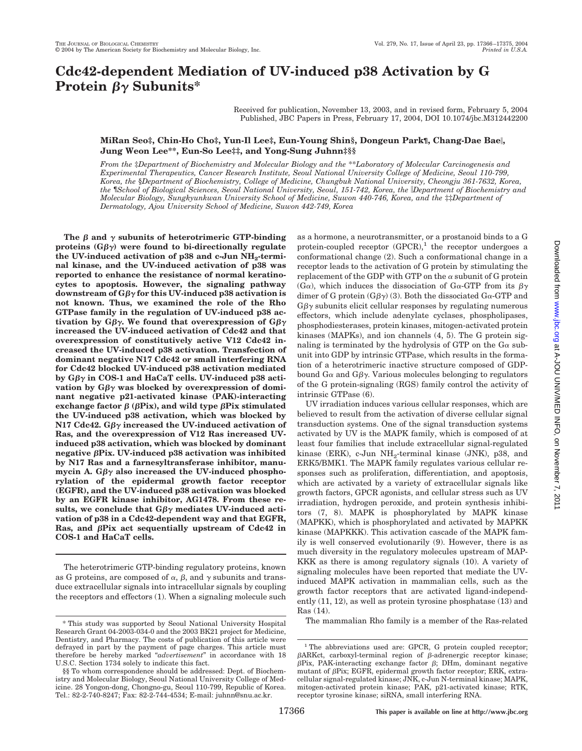# **Cdc42-dependent Mediation of UV-induced p38 Activation by G Protein βγ Subunits\***

Received for publication, November 13, 2003, and in revised form, February 5, 2004 Published, JBC Papers in Press, February 17, 2004, DOI 10.1074/jbc.M312442200

## **MiRan Seo‡, Chin-Ho Cho‡, Yun-Il Lee‡, Eun-Young Shin§, Dongeun Park¶, Chang-Dae Bae, Jung Weon Lee\*\*, Eun-So Lee‡‡, and Yong-Sung Juhnn‡§§**

*From the* ‡*Department of Biochemistry and Molecular Biology and the* \*\**Laboratory of Molecular Carcinogenesis and Experimental Therapeutics, Cancer Research Institute, Seoul National University College of Medicine, Seoul 110-799, Korea, the* §*Department of Biochemistry, College of Medicine, Chungbuk National University, Cheongju 361-7632, Korea, the* ¶*School of Biological Sciences, Seoul National University, Seoul, 151-742, Korea, the Department of Biochemistry and Molecular Biology, Sungkyunkwan University School of Medicine, Suwon 440-746, Korea, and the* ‡‡*Department of Dermatology, Ajou University School of Medicine, Suwon 442-749, Korea*

The  $\beta$  and  $\gamma$  subunits of heterotrimeric GTP-binding proteins  $(G\beta\gamma)$  were found to bi-directionally regulate the UV-induced activation of p38 and c-Jun NH<sub>2</sub>-termi**nal kinase, and the UV-induced activation of p38 was reported to enhance the resistance of normal keratinocytes to apoptosis. However, the signaling pathway downstream of G**- **for this UV-induced p38 activation is not known. Thus, we examined the role of the Rho GTPase family in the regulation of UV-induced p38 ac**tivation by G $\beta\gamma$ . We found that overexpression of G $\beta\gamma$ **increased the UV-induced activation of Cdc42 and that overexpression of constitutively active V12 Cdc42 increased the UV-induced p38 activation. Transfection of dominant negative N17 Cdc42 or small interfering RNA for Cdc42 blocked UV-induced p38 activation mediated by G**- **in COS-1 and HaCaT cells. UV-induced p38 activation by Gβγ was blocked by overexpression of dominant negative p21-activated kinase (PAK)-interacting** exchange factor  $\beta$  ( $\beta$ Pix), and wild type  $\beta$ Pix stimulated **the UV-induced p38 activation, which was blocked by N17 Cdc42. Gβγ increased the UV-induced activation of Ras, and the overexpression of V12 Ras increased UVinduced p38 activation, which was blocked by dominant negative Pix. UV-induced p38 activation was inhibited by N17 Ras and a farnesyltransferase inhibitor, manu**mycin A. Gβγ also increased the UV-induced phospho**rylation of the epidermal growth factor receptor (EGFR), and the UV-induced p38 activation was blocked by an EGFR kinase inhibitor, AG1478. From these re**sults, we conclude that  $G\beta\gamma$  mediates UV-induced acti**vation of p38 in a Cdc42-dependent way and that EGFR,** Ras, and  $\beta$ Pix act sequentially upstream of Cdc42 in **COS-1 and HaCaT cells.**

The heterotrimeric GTP-binding regulatory proteins, known as G proteins, are composed of  $\alpha$ ,  $\beta$ , and  $\gamma$  subunits and transduce extracellular signals into intracellular signals by coupling the receptors and effectors (1). When a signaling molecule such as a hormone, a neurotransmitter, or a prostanoid binds to a G protein-coupled receptor  $(GPCR)$ ,<sup>1</sup> the receptor undergoes a conformational change (2). Such a conformational change in a receptor leads to the activation of G protein by stimulating the replacement of the GDP with GTP on the  $\alpha$  subunit of G protein  $(G\alpha)$ , which induces the dissociation of  $G\alpha$ -GTP from its  $\beta\gamma$ dimer of G protein  $(G\beta\gamma)$  (3). Both the dissociated G $\alpha$ -GTP and  $G\beta\gamma$  subunits elicit cellular responses by regulating numerous effectors, which include adenylate cyclases, phospholipases, phosphodiesterases, protein kinases, mitogen-activated protein kinases (MAPKs), and ion channels (4, 5). The G protein signaling is terminated by the hydrolysis of GTP on the  $G\alpha$  subunit into GDP by intrinsic GTPase, which results in the formation of a heterotrimeric inactive structure composed of GDPbound G $\alpha$  and G $\beta\gamma$ . Various molecules belonging to regulators of the G protein-signaling (RGS) family control the activity of intrinsic GTPase (6).

UV irradiation induces various cellular responses, which are believed to result from the activation of diverse cellular signal transduction systems. One of the signal transduction systems activated by UV is the MAPK family, which is composed of at least four families that include extracellular signal-regulated kinase (ERK), c-Jun  $NH<sub>2</sub>$ -terminal kinase (JNK), p38, and ERK5/BMK1. The MAPK family regulates various cellular responses such as proliferation, differentiation, and apoptosis, which are activated by a variety of extracellular signals like growth factors, GPCR agonists, and cellular stress such as UV irradiation, hydrogen peroxide, and protein synthesis inhibitors (7, 8). MAPK is phosphorylated by MAPK kinase (MAPKK), which is phosphorylated and activated by MAPKK kinase (MAPKKK). This activation cascade of the MAPK family is well conserved evolutionarily (9). However, there is as much diversity in the regulatory molecules upstream of MAP-KKK as there is among regulatory signals (10). A variety of signaling molecules have been reported that mediate the UVinduced MAPK activation in mammalian cells, such as the growth factor receptors that are activated ligand-independently (11, 12), as well as protein tyrosine phosphatase (13) and Ras (14).

The mammalian Rho family is a member of the Ras-related \* This study was supported by Seoul National University Hospital

Research Grant 04-2003-034-0 and the 2003 BK21 project for Medicine, Dentistry, and Pharmacy. The costs of publication of this article were defrayed in part by the payment of page charges. This article must therefore be hereby marked "*advertisement*" in accordance with 18 U.S.C. Section 1734 solely to indicate this fact.

<sup>§§</sup> To whom correspondence should be addressed: Dept. of Biochemistry and Molecular Biology, Seoul National University College of Medicine. 28 Yongon-dong, Chongno-gu, Seoul 110-799, Republic of Korea. Tel.: 82-2-740-8247; Fax: 82-2-744-4534; E-mail: juhnn@snu.ac.kr.

<sup>&</sup>lt;sup>1</sup> The abbreviations used are: GPCR, G protein coupled receptor;  $\beta$ ARKct, carboxyl-terminal region of  $\beta$ -adrenergic receptor kinase;  $\beta$ Pix, PAK-interacting exchange factor  $\beta$ ; DHm, dominant negative mutant of  $\beta$ Pix; EGFR, epidermal growth factor receptor; ERK, extracellular signal-regulated kinase; JNK, c-Jun N-terminal kinase; MAPK, mitogen-activated protein kinase; PAK, p21-activated kinase; RTK, receptor tyrosine kinase; siRNA, small interfering RNA.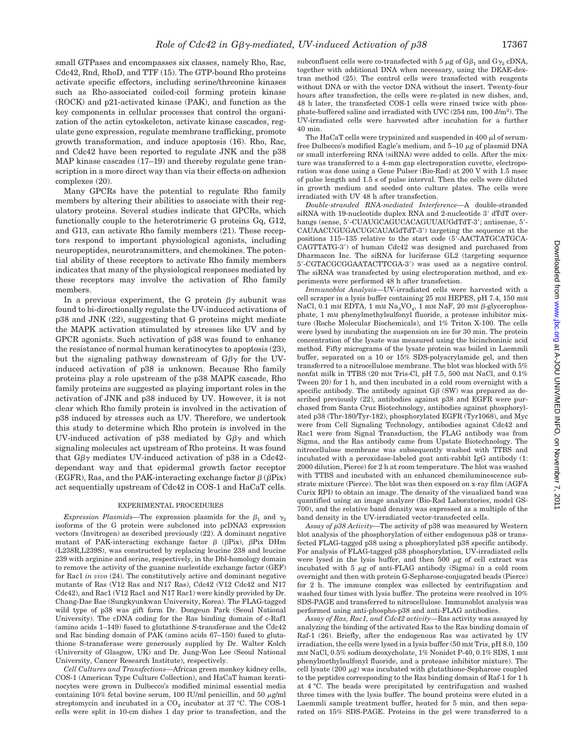small GTPases and encompasses six classes, namely Rho, Rac, Cdc42, Rnd, RhoD, and TTF (15). The GTP-bound Rho proteins activate specific effectors, including serine/threonine kinases such as Rho-associated coiled-coil forming protein kinase (ROCK) and p21-activated kinase (PAK), and function as the key components in cellular processes that control the organization of the actin cytoskeleton, activate kinase cascades, regulate gene expression, regulate membrane trafficking, promote growth transformation, and induce apoptosis (16). Rho, Rac, and Cdc42 have been reported to regulate JNK and the p38 MAP kinase cascades (17–19) and thereby regulate gene transcription in a more direct way than via their effects on adhesion complexes (20).

Many GPCRs have the potential to regulate Rho family members by altering their abilities to associate with their regulatory proteins. Several studies indicate that GPCRs, which functionally couple to the heterotrimeric G proteins Gq, G12, and G13, can activate Rho family members (21). These receptors respond to important physiological agonists, including neuropeptides, neurotransmitters, and chemokines. The potential ability of these receptors to activate Rho family members indicates that many of the physiological responses mediated by these receptors may involve the activation of Rho family members.

In a previous experiment, the G protein  $\beta\gamma$  subunit was found to bi-directionally regulate the UV-induced activations of p38 and JNK (22), suggesting that G proteins might mediate the MAPK activation stimulated by stresses like UV and by GPCR agonists. Such activation of p38 was found to enhance the resistance of normal human keratinocytes to apoptosis (23), but the signaling pathway downstream of  $G\beta\gamma$  for the UVinduced activation of p38 is unknown. Because Rho family proteins play a role upstream of the p38 MAPK cascade, Rho family proteins are suggested as playing important roles in the activation of JNK and p38 induced by UV. However, it is not clear which Rho family protein is involved in the activation of p38 induced by stresses such as UV. Therefore, we undertook this study to determine which Rho protein is involved in the UV-induced activation of p38 mediated by  $G\beta\gamma$  and which signaling molecules act upstream of Rho proteins. It was found that  $G\beta\gamma$  mediates UV-induced activation of p38 in a Cdc42dependant way and that epidermal growth factor receptor  $(\text{EGFR})$ , Ras, and the PAK-interacting exchange factor  $\beta$  ( $\beta$ Pix) act sequentially upstream of Cdc42 in COS-1 and HaCaT cells.

### EXPERIMENTAL PROCEDURES

 $\emph{Expression}$  Plasmids—The expression plasmids for the  $\beta_1$  and  $\gamma_2$ isoforms of the G protein were subcloned into pcDNA3 expression vectors (Invitrogen) as described previously (22). A dominant negative mutant of PAK-interacting exchange factor  $\beta$  ( $\beta$ Pix),  $\beta$ Pix DHm (L238R,L239S), was constructed by replacing leucine 238 and leucine 239 with arginine and serine, respectively, in the Dbl-homology domain to remove the activity of the guanine nucleotide exchange factor (GEF) for Rac1 *in vivo* (24). The constitutively active and dominant negative mutants of Ras (V12 Ras and N17 Ras), Cdc42 (V12 Cdc42 and N17 Cdc42), and Rac1 (V12 Rac1 and N17 Rac1) were kindly provided by Dr. Chang-Dae Bae (Sungkyunkwan University, Korea). The FLAG-tagged wild type of p38 was gift form Dr. Dongeun Park (Seoul National University). The cDNA coding for the Ras binding domain of c-Raf1 (amino acids 1–149) fused to glutathione *S*-transferase and the Cdc42 and Rac binding domain of PAK (amino acids 67–150) fused to glutathione S-transferase were generously supplied by Dr. Walter Kolch (University of Glasgow, UK) and Dr. Jung-Won Lee (Seoul National University, Cancer Research Institute), respectively.

*Cell Cultures and Transfections—*African green monkey kidney cells, COS-1 (American Type Culture Collection), and HaCaT human keratinocytes were grown in Dulbecco's modified minimal essential media containing 10% fetal bovine serum, 100 IU/ml penicillin, and 50  $\mu$ g/ml streptomycin and incubated in a  $CO<sub>2</sub>$  incubator at 37 °C. The COS-1 cells were split in 10-cm dishes 1 day prior to transfection, and the

subconfluent cells were co-transfected with 5  $\mu$ g of G $\beta_1$  and G $\gamma_2$  cDNA, together with additional DNA when necessary, using the DEAE-dextran method (25). The control cells were transfected with reagents without DNA or with the vector DNA without the insert. Twenty-four hours after transfection, the cells were re-plated in new dishes, and, 48 h later, the transfected COS-1 cells were rinsed twice with phosphate-buffered saline and irradiated with UVC (254 nm, 100 J/m<sup>2</sup>). The UV-irradiated cells were harvested after incubation for a further 40 min.

The HaCaT cells were trypsinized and suspended in 400  $\mu$ l of serumfree Dulbecco's modified Eagle's medium, and  $5-10 \mu$ g of plasmid DNA or small interfereing RNA (siRNA) were added to cells. After the mixture was transferred to a 4-mm gap electroporation cuvette, electroporation was done using a Gene Pulser (Bio-Rad) at 200 V with 1.5 msec of pulse length and 1.5 s of pulse interval. Then the cells were diluted in growth medium and seeded onto culture plates. The cells were irradiated with UV 48 h after transfection.

*Double-stranded RNA-mediated Interference—*A double-stranded siRNA with 19-nucleotide duplex RNA and 2-nucleotide 3' dTdT overhangs (sense, 5'-CUAUGCAGUCACAGUUAUGdTdT-3'; antisense, 5'-CAUAACUGUGACUGCAUAGdTdT-3) targeting the sequence at the positions 115–135 relative to the start code (5-AACTATGCATGCA-CAGTTATG-3) of human Cdc42 was designed and purchased from Dharmacon Inc. The siRNA for luciferase GL2 (targeting sequence 5-CGTACGCGGAATACTTCGA-3) was used as a negative control. The siRNA was transfected by using electroporation method, and experiments were performed 48 h after transfection.

*Immunoblot Analysis—*UV-irradiated cells were harvested with a cell scraper in a lysis buffer containing 25 mM HEPES, pH 7.4, 150 mM NaCl, 0.1 mm EDTA, 1 mm  $\rm Na_{3}VO_{4},$  1 mm NaF, 20 mm  $\beta$ -glycerophosphate, 1 mM phenylmethylsulfonyl fluoride, a protease inhibitor mixture (Roche Molecular Biochemicals), and 1% Triton X-100. The cells were lysed by incubating the suspension on ice for 30 min. The protein concentration of the lysate was measured using the bicinchoninic acid method. Fifty micrograms of the lysate protein was boiled in Laemmli buffer, separated on a 10 or 15% SDS-polyacrylamide gel, and then transferred to a nitrocellulose membrane. The blot was blocked with 5% nonfat milk in TTBS (20 mM Tris-Cl, pH 7.5, 500 mM NaCl, and 0.1% Tween 20) for 1 h, and then incubated in a cold room overnight with a specific antibody. The antibody against  $G\beta$  (SW) was prepared as described previously (22), antibodies against p38 and EGFR were purchased from Santa Cruz Biotechnology, antibodies against phosphorylated p38 (Thr-180/Tyr-182), phosphorylated EGFR (Tyr1068), and Myc were from Cell Signaling Technology, antibodies against Cdc42 and Rac1 were from Signal Transduction, the FLAG antibody was from Sigma, and the Ras antibody came from Upstate Biotechnology. The nitrocellulose membrane was subsequently washed with TTBS and incubated with a peroxidase-labeled goat anti-rabbit IgG antibody (1: 2000 dilution, Pierce) for 2 h at room temperature. The blot was washed with TTBS and incubated with an enhanced chemiluminescence substrate mixture (Pierce). The blot was then exposed on x-ray film (AGFA Curix RPI) to obtain an image. The density of the visualized band was quantified using an image analyzer (Bio-Rad Laboratories, model GS-700), and the relative band density was expressed as a multiple of the band density in the UV-irradiated vector-transfected cells.

*Assay of p38 Activity—*The activity of p38 was measured by Western blot analysis of the phosphorylation of either endogenous p38 or transfected FLAG-tagged p38 using a phosphorylated p38 specific antibody. For analysis of FLAG-tagged p38 phosphorylation, UV-irradiated cells were lysed in the lysis buffer, and then  $500 \mu$ g of cell extract was incubated with  $5 \mu g$  of anti-FLAG antibody (Sigma) in a cold room overnight and then with protein G-Sepharose-conjugated beads (Pierce) for 2 h. The immune complex was collected by centrifugation and washed four times with lysis buffer. The proteins were resolved in 10% SDS-PAGE and transferred to nitrocellulose. Immunoblot analysis was performed using anti-phospho-p38 and anti-FLAG antibodies.

*Assay of Ras, Rac1, and Cdc42 activity—*Ras activity was assayed by analyzing the binding of the activated Ras to the Ras binding domain of Raf-1 (26). Briefly, after the endogenous Ras was activated by UV irradiation, the cells were lysed in a lysis buffer (50 mM Tris, pH 8.0, 150 mM NaCl, 0.5% sodium deoxycholate, 1% Nonidet P-40, 0.1% SDS, 1 mM phenylmethylsulfonyl fluoride, and a protease inhibitor mixture). The cell lysate (200  $\mu$ g) was incubated with glutathione-Sepharose coupled to the peptides corresponding to the Ras binding domain of Raf-1 for 1 h at 4 °C. The beads were precipitated by centrifugation and washed three times with the lysis buffer. The bound proteins were eluted in a Laemmli sample treatment buffer, heated for 5 min, and then separated on 15% SDS-PAGE. Proteins in the gel were transferred to a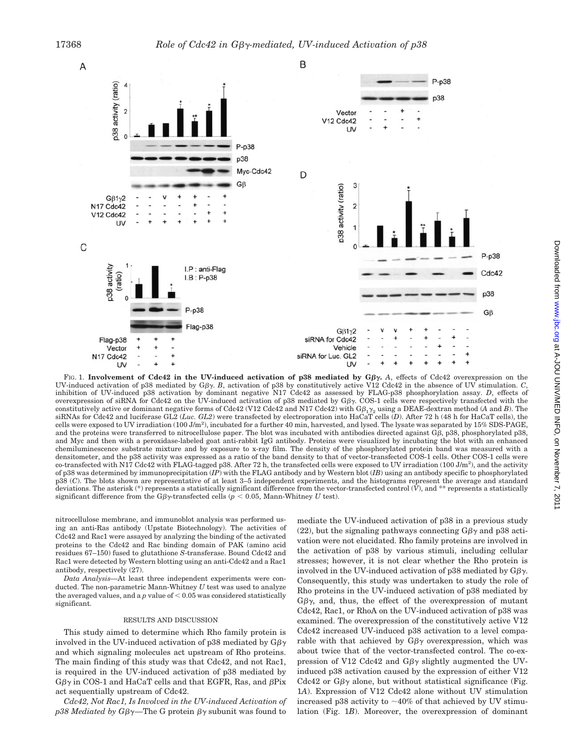

FIG. 1. **Involvement of Cdc42 in the UV-induced activation of p38 mediated by**  $G\beta\gamma$ **. A, effects of Cdc42 overexpression on the** UV-induced activation of p38 mediated by G $\beta \gamma$ . *B*, activation of p38 by constitutively active V12 Cdc42 in the absence of UV stimulation. *C*, inhibition of UV-induced p38 activation by dominant negative N17 Cdc42 as assessed by FLAG-p38 phosphorylation assay. *D*, effects of overexpression of siRNA for Cdc42 on the UV-induced activation of p38 mediated by  $G\beta\gamma$ . COS-1 cells were respectively transfected with the constitutively active or dominant negative forms of Cdc42 (V12 Cdc42 and N17 Cdc42) with G $\beta_1\gamma_2$  using a DEAE-dextran method (*A* and *B*). The siRNAs for Cdc42 and luciferase GL2 (*Luc. GL2*) were transfected by electroporation into HaCaT cells (*D*). After 72 h (48 h for HaCaT cells), the cells were exposed to UV irradiation (100 J/m<sup>2</sup>), incubated for a further 40 min, harvested, and lysed. The lysate was separated by 15% SDS-PAGE, and the proteins were transferred to nitrocellulose paper. The blot was incubated with antibodies directed against  $G\beta$ , p38, phosphorylated p38, and Myc and then with a peroxidase-labeled goat anti-rabbit IgG antibody. Proteins were visualized by incubating the blot with an enhanced chemiluminescence substrate mixture and by exposure to x-ray film. The density of the phosphorylated protein band was measured with a densitometer, and the p38 activity was expressed as a ratio of the band density to that of vector-transfected COS-1 cells. Other COS-1 cells were co-transfected with N17 Cdc42 with FLAG-tagged p38. After 72 h, the transfected cells were exposed to UV irradiation (100 J/m<sup>2</sup>), and the activity of p38 was determined by immunoprecipitation (*IP*) with the FLAG antibody and by Western blot (*IB*) using an antibody specific to phosphorylated p38 (*C*). The blots shown are representative of at least 3–5 independent experiments, and the histograms represent the average and standard deviations. The asterisk (\*) represents a statistically significant difference from the vector-transfected control (*V*), and \*\* represents a statistically significant difference from the  $G\beta\gamma$ -transfected cells ( $p < 0.05$ , Mann-Whitney *U* test).

nitrocellulose membrane, and immunoblot analysis was performed using an anti-Ras antibody (Upstate Biotechnology). The activities of Cdc42 and Rac1 were assayed by analyzing the binding of the activated proteins to the Cdc42 and Rac binding domain of PAK (amino acid residues 67–150) fused to glutathione *S*-transferase. Bound Cdc42 and Rac1 were detected by Western blotting using an anti-Cdc42 and a Rac1 antibody, respectively (27).

*Data Analysis—*At least three independent experiments were conducted. The non-parametric Mann-Whitney *U* test was used to analyze the averaged values, and a  $p$  value of  $<$  0.05 was considered statistically significant.

#### RESULTS AND DISCUSSION

This study aimed to determine which Rho family protein is involved in the UV-induced activation of p38 mediated by  $G\beta\gamma$ and which signaling molecules act upstream of Rho proteins. The main finding of this study was that Cdc42, and not Rac1, is required in the UV-induced activation of p38 mediated by  $G\beta\gamma$  in COS-1 and HaCaT cells and that EGFR, Ras, and  $\beta$ Pix act sequentially upstream of Cdc42.

*Cdc42, Not Rac1, Is Involved in the UV-induced Activation of*  $p38$  *Mediated by G* $\beta\gamma$ —The G protein  $\beta\gamma$  subunit was found to mediate the UV-induced activation of p38 in a previous study (22), but the signaling pathways connecting  $G\beta\gamma$  and p38 activation were not elucidated. Rho family proteins are involved in the activation of p38 by various stimuli, including cellular stresses; however, it is not clear whether the Rho protein is involved in the UV-induced activation of p38 mediated by  $G\beta\gamma$ . Consequently, this study was undertaken to study the role of Rho proteins in the UV-induced activation of p38 mediated by  $G\beta\gamma$ , and, thus, the effect of the overexpression of mutant Cdc42, Rac1, or RhoA on the UV-induced activation of p38 was examined. The overexpression of the constitutively active V12 Cdc42 increased UV-induced p38 activation to a level comparable with that achieved by  $G\beta\gamma$  overexpression, which was about twice that of the vector-transfected control. The co-expression of V12 Cdc42 and  $G\beta\gamma$  slightly augmented the UVinduced p38 activation caused by the expression of either V12 Cdc42 or  $G\beta\gamma$  alone, but without statistical significance (Fig. 1*A*). Expression of V12 Cdc42 alone without UV stimulation increased p38 activity to  $\sim$ 40% of that achieved by UV stimulation (Fig. 1*B*). Moreover, the overexpression of dominant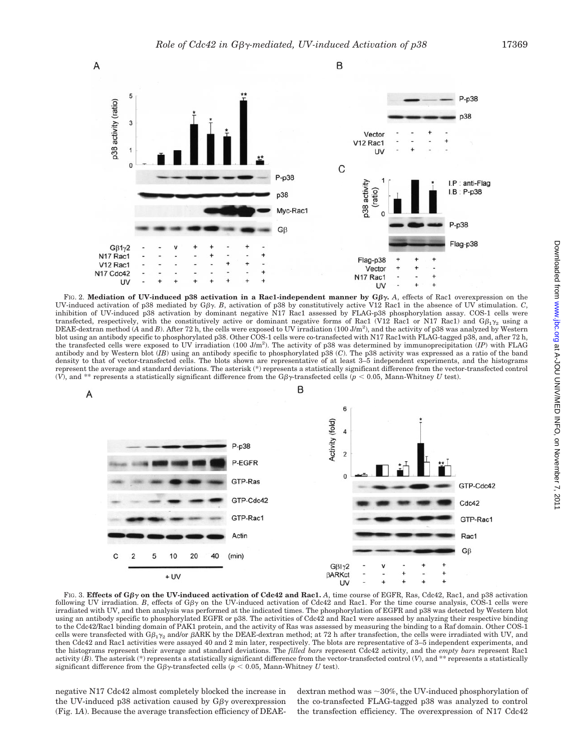

FIG. 2. **Mediation of UV-induced p38 activation in a Rac1-independent manner by**  $G\beta\gamma$ **. A, effects of Rac1 overexpression on the** UV-induced activation of p38 mediated by G $\beta$ y. *B*, activation of p38 by constitutively active V12 Rac1 in the absence of UV stimulation. *C*, inhibition of UV-induced p38 activation by dominant negative N17 Rac1 assessed by FLAG-p38 phosphorylation assay. COS-1 cells were transfected, respectively, with the constitutively active or dominant negative forms of Rac1 (V12 Rac1 or N17 Rac1) and  $G \beta_1 \gamma_2$  using a DEAE-dextran method (A and B). After 72 h, the cells were exposed to UV irradiation (100 J/m<sup>2</sup>), and the activity of p38 was analyzed by Western blot using an antibody specific to phosphorylated p38. Other COS-1 cells were co-transfected with N17 Rac1with FLAG-tagged p38, and, after 72 h, the transfected cells were exposed to UV irradiation (100 J/m2 ). The activity of p38 was determined by immunoprecipitation (*IP*) with FLAG antibody and by Western blot (*IB*) using an antibody specific to phosphorylated p38 (*C*). The p38 activity was expressed as a ratio of the band density to that of vector-transfected cells. The blots shown are representative of at least 3–5 independent experiments, and the histograms represent the average and standard deviations. The asterisk (\*) represents a statistically significant difference from the vector-transfected control (V), and <sup>\*\*</sup> represents a statistically significant difference from the G $\beta\gamma$ -transfected cells ( $p < 0.05$ , Mann-Whitney *U* test).

В





FIG. 3. **Effects of G**- **on the UV-induced activation of Cdc42 and Rac1.** *A*, time course of EGFR, Ras, Cdc42, Rac1, and p38 activation following UV irradiation. *B*, effects of  $G\beta\gamma$  on the UV-induced activation of Cdc42 and Rac1. For the time course analysis, COS-1 cells were irradiated with UV, and then analysis was performed at the indicated times. The phosphorylation of EGFR and p38 was detected by Western blot using an antibody specific to phosphorylated EGFR or p38. The activities of Cdc42 and Rac1 were assessed by analyzing their respective binding to the Cdc42/Rac1 binding domain of PAK1 protein, and the activity of Ras was assessed by measuring the binding to a Raf domain. Other COS-1 cells were transfected with G $\beta_1\gamma_2$  and/or  $\beta$ ARK by the DEAE-dextran method; at 72 h after transfection, the cells were irradiated with UV, and then Cdc42 and Rac1 activities were assayed 40 and 2 min later, respectively. The blots are representative of 3–5 independent experiments, and the histograms represent their average and standard deviations. The *filled bars* represent Cdc42 activity, and the *empty bars* represent Rac1 activity (*B*). The asterisk (\*) represents a statistically significant difference from the vector-transfected control (*V*), and \*\* represents a statistically significant difference from the  $G\beta\gamma$ -transfected cells ( $p < 0.05$ , Mann-Whitney *U* test).

negative N17 Cdc42 almost completely blocked the increase in the UV-induced p38 activation caused by  $G\beta\gamma$  overexpression (Fig. 1*A*). Because the average transfection efficiency of DEAE-

dextran method was  $\sim$ 30%, the UV-induced phosphorylation of the co-transfected FLAG-tagged p38 was analyzed to control the transfection efficiency. The overexpression of N17 Cdc42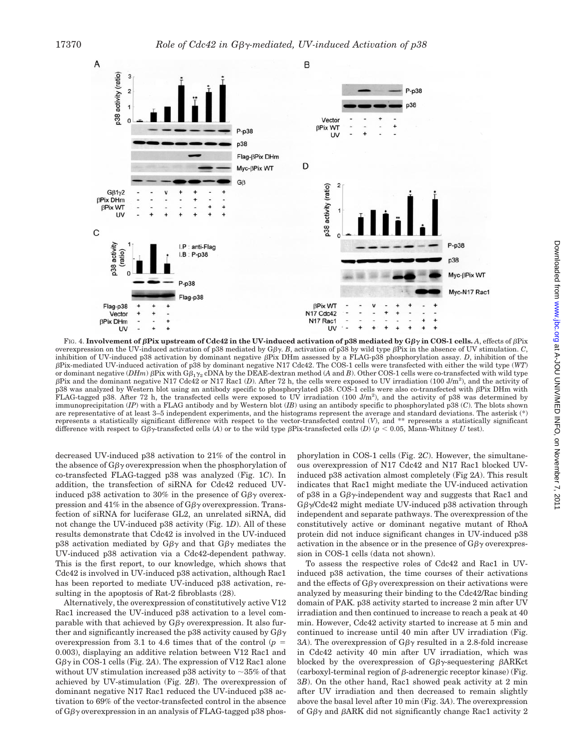

Fig. 4. **Involvement of**  $\beta$ **Pix upstream of Cdc42 in the UV-induced activation of p38 mediated by G** $\beta\gamma$  **in COS-1 cells. A, effects of**  $\beta$ **Pix** overexpression on the UV-induced activation of p38 mediated by  $G\beta\gamma$ . *B*, activation of p38 by wild type  $\beta$ Pix in the absence of UV stimulation. *C*, inhibition of UV-induced p38 activation by dominant negative  $\beta$ Pix DHm assessed by a FLAG-p38 phosphorylation assay. *D*, inhibition of the -Pix-mediated UV-induced activation of p38 by dominant negative N17 Cdc42. The COS-1 cells were transfected with either the wild type (*WT*) or dominant negative (*DHm*)  $\beta$ Pix with G $\beta_1 \gamma_2$  cDNA by the DEAE-dextran method (*A* and *B*). Other COS-1 cells were co-transfected with wild type -Pix and the dominant negative N17 Cdc42 or N17 Rac1 (*D*). After 72 h, the cells were exposed to UV irradiation (100 J/m<sup>2</sup> ), and the activity of p38 was analyzed by Western blot using an antibody specific to phosphorylated p38. COS-1 cells were also co-transfected with  $\beta$ Pix DHm with FLAG-tagged p38. After 72 h, the transfected cells were exposed to UV irradiation  $(100 \text{ J/m}^2)$ , and the activity of p38 was determined by immunoprecipitation (*IP*) with a FLAG antibody and by Western blot (*IB*) using an antibody specific to phosphorylated p38 (*C*). The blots shown are representative of at least 3–5 independent experiments, and the histograms represent the average and standard deviations. The asterisk (\*) represents a statistically significant difference with respect to the vector-transfected control (*V*), and \*\* represents a statistically significant difference with respect to G $\beta\gamma$ -transfected cells (A) or to the wild type  $\beta$ Pix-transfected cells (D) ( $p < 0.05$ , Mann-Whitney *U* test).

decreased UV-induced p38 activation to 21% of the control in the absence of  $G\beta\gamma$  overexpression when the phosphorylation of co-transfected FLAG-tagged p38 was analyzed (Fig. 1*C*). In addition, the transfection of siRNA for Cdc42 reduced UVinduced p38 activation to 30% in the presence of  $G\beta\gamma$  overexpression and 41% in the absence of  $G\beta\gamma$  overexpression. Transfection of siRNA for luciferase GL2, an unrelated siRNA, did not change the UV-induced p38 activity (Fig. 1*D*). All of these results demonstrate that Cdc42 is involved in the UV-induced p38 activation mediated by  $G\beta\gamma$  and that  $G\beta\gamma$  mediates the UV-induced p38 activation via a Cdc42-dependent pathway. This is the first report, to our knowledge, which shows that Cdc42 is involved in UV-induced p38 activation, although Rac1 has been reported to mediate UV-induced p38 activation, resulting in the apoptosis of Rat-2 fibroblasts (28).

Alternatively, the overexpression of constitutively active V12 Rac1 increased the UV-induced p38 activation to a level comparable with that achieved by  $G\beta\gamma$  overexpression. It also further and significantly increased the p38 activity caused by  $G\beta\gamma$ overexpression from 3.1 to 4.6 times that of the control  $(p =$ 0.003), displaying an additive relation between V12 Rac1 and  $G\beta\gamma$  in COS-1 cells (Fig. 2A). The expression of V12 Rac1 alone without UV stimulation increased p38 activity to  $\sim$ 35% of that achieved by UV-stimulation (Fig. 2*B*). The overexpression of dominant negative N17 Rac1 reduced the UV-induced p38 activation to 69% of the vector-transfected control in the absence of  $G\beta\gamma$  overexpression in an analysis of FLAG-tagged p38 phosphorylation in COS-1 cells (Fig. 2*C*). However, the simultaneous overexpression of N17 Cdc42 and N17 Rac1 blocked UVinduced p38 activation almost completely (Fig 2*A*). This result indicates that Rac1 might mediate the UV-induced activation of p38 in a  $G\beta\gamma$ -independent way and suggests that Rac1 and  $G\beta\gamma$ /Cdc42 might mediate UV-induced p38 activation through independent and separate pathways. The overexpression of the constitutively active or dominant negative mutant of RhoA protein did not induce significant changes in UV-induced p38 activation in the absence or in the presence of  $G\beta\gamma$  overexpression in COS-1 cells (data not shown).

To assess the respective roles of Cdc42 and Rac1 in UVinduced p38 activation, the time courses of their activations and the effects of  $G\beta\gamma$  overexpression on their activations were analyzed by measuring their binding to the Cdc42/Rac binding domain of PAK. p38 activity started to increase 2 min after UV irradiation and then continued to increase to reach a peak at 40 min. However, Cdc42 activity started to increase at 5 min and continued to increase until 40 min after UV irradiation (Fig. 3A). The overexpression of  $G\beta\gamma$  resulted in a 2.8-fold increase in Cdc42 activity 40 min after UV irradiation, which was blocked by the overexpression of  $G\beta\gamma$ -sequestering  $\beta$ ARKct  $(carboxyl-terminal region of  $\beta$ -adrenergic receptor kinase) (Fig.$ 3*B*). On the other hand, Rac1 showed peak activity at 2 min after UV irradiation and then decreased to remain slightly above the basal level after 10 min (Fig. 3*A*). The overexpression of  $G\beta\gamma$  and  $\beta$ ARK did not significantly change Rac1 activity 2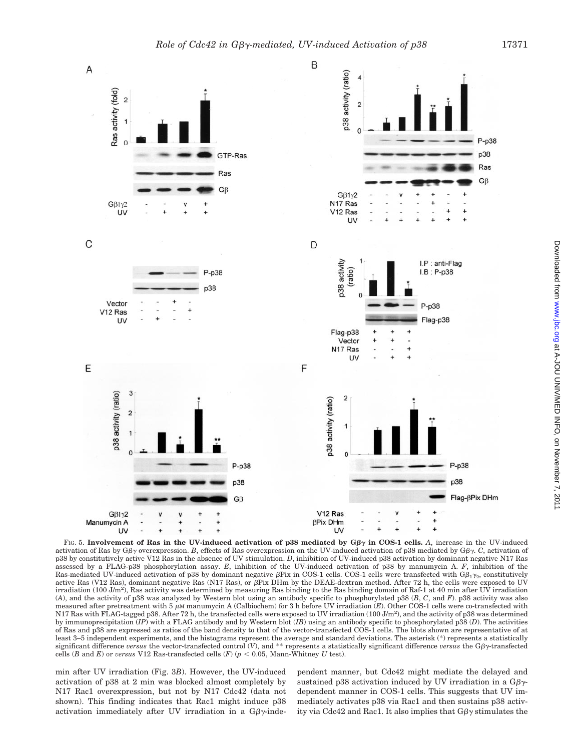

FIG. 5. Involvement of Ras in the UV-induced activation of  $p38$  mediated by  $G\beta\gamma$  in COS-1 cells. A, increase in the UV-induced activation of Ras by  $G\beta\gamma$  overexpression. *B*, effects of Ras overexpression on the UV-induced activation of p38 mediated by  $G\beta\gamma$ . *C*, activation of p38 by constitutively active V12 Ras in the absence of UV stimulation. *D*, inhibition of UV-induced p38 activation by dominant negative N17 Ras assessed by a FLAG-p38 phosphorylation assay. *E*, inhibition of the UV-induced activation of p38 by manumycin A. *F*, inhibition of the Ras-mediated UV-induced activation of p38 by dominant negative  $\beta$ Pix in COS-1 cells. COS-1 cells were transfected with  $G\beta_1\gamma_2$ , constitutively active Ras (V12 Ras), dominant negative Ras (N17 Ras), or  $\beta$ Pix DHm by the DEAE-dextran method. After 72 h, the cells were exposed to UV irradiation (100 J/m<sup>2</sup>), Ras activity was determined by measuring Ras binding to the Ras binding domain of Raf-1 at 40 min after UV irradiation (*A*), and the activity of p38 was analyzed by Western blot using an antibody specific to phosphorylated p38 (*B*, *C*, and *F*). p38 activity was also measured after pretreatment with  $5 \mu$ M manumycin A (Calbiochem) for 3 h before UV irradiation (*E*). Other COS-1 cells were co-transfected with N17 Ras with FLAG-tagged p38. After 72 h, the transfected cells were exposed to UV irradiation (100 J/m<sup>2</sup>), and the activity of p38 was determined by immunoprecipitation (*IP*) with a FLAG antibody and by Western blot (*IB*) using an antibody specific to phosphorylated p38 (*D*). The activities of Ras and p38 are expressed as ratios of the band density to that of the vector-transfected COS-1 cells. The blots shown are representative of at least 3–5 independent experiments, and the histograms represent the average and standard deviations. The asterisk (\*) represents a statistically significant difference *versus* the vector-transfected control  $(V)$ , and \*\* represents a statistically significant difference *versus* the  $G\beta\gamma$ -transfected cells (*B* and *E*) or *versus* V12 Ras-transfected cells (*F*) ( $p < 0.05$ , Mann-Whitney *U* test).

min after UV irradiation (Fig. 3*B*). However, the UV-induced activation of p38 at 2 min was blocked almost completely by N17 Rac1 overexpression, but not by N17 Cdc42 (data not shown). This finding indicates that Rac1 might induce p38 activation immediately after UV irradiation in a  $G\beta\gamma$ -independent manner, but Cdc42 might mediate the delayed and sustained p38 activation induced by UV irradiation in a  $G\beta\gamma$ dependent manner in COS-1 cells. This suggests that UV immediately activates p38 via Rac1 and then sustains p38 activity via Cdc42 and Rac1. It also implies that  $G\beta\gamma$  stimulates the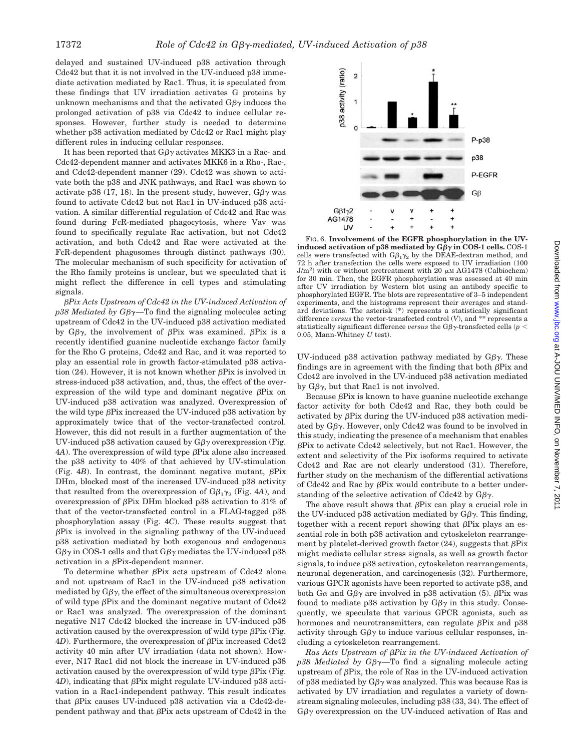delayed and sustained UV-induced p38 activation through Cdc42 but that it is not involved in the UV-induced p38 immediate activation mediated by Rac1. Thus, it is speculated from these findings that UV irradiation activates G proteins by unknown mechanisms and that the activated  $G\beta\gamma$  induces the prolonged activation of p38 via Cdc42 to induce cellular responses. However, further study is needed to determine whether p38 activation mediated by Cdc42 or Rac1 might play different roles in inducing cellular responses.

It has been reported that  $G\beta\gamma$  activates MKK3 in a Rac- and Cdc42-dependent manner and activates MKK6 in a Rho-, Rac-, and Cdc42-dependent manner (29). Cdc42 was shown to activate both the p38 and JNK pathways, and Rac1 was shown to activate p38 (17, 18). In the present study, however,  $G\beta\gamma$  was found to activate Cdc42 but not Rac1 in UV-induced p38 activation. A similar differential regulation of Cdc42 and Rac was found during FcR-mediated phagocytosis, where Vav was found to specifically regulate Rac activation, but not Cdc42 activation, and both Cdc42 and Rac were activated at the FcR-dependent phagosomes through distinct pathways (30). The molecular mechanism of such specificity for activation of the Rho family proteins is unclear, but we speculated that it might reflect the difference in cell types and stimulating signals.

-*Pix Acts Upstream of Cdc42 in the UV-induced Activation of*  $p38$  *Mediated by G* $\beta\gamma$ —To find the signaling molecules acting upstream of Cdc42 in the UV-induced p38 activation mediated by  $G\beta\gamma$ , the involvement of  $\beta$ Pix was examined.  $\beta$ Pix is a recently identified guanine nucleotide exchange factor family for the Rho G proteins, Cdc42 and Rac, and it was reported to play an essential role in growth factor-stimulated p38 activation (24). However, it is not known whether  $\beta$ Pix is involved in stress-induced p38 activation, and, thus, the effect of the overexpression of the wild type and dominant negative  $\beta$ Pix on UV-induced p38 activation was analyzed. Overexpression of the wild type  $\beta$ Pix increased the UV-induced p38 activation by approximately twice that of the vector-transfected control. However, this did not result in a further augmentation of the UV-induced p38 activation caused by  $G\beta\gamma$  overexpression (Fig.  $4A$ ). The overexpression of wild type  $\beta$ Pix alone also increased the p38 activity to 40% of that achieved by UV-stimulation (Fig. 4*B*). In contrast, the dominant negative mutant,  $\beta$ Pix DHm, blocked most of the increased UV-induced p38 activity that resulted from the overexpression of  $G\beta_1\gamma_2$  (Fig. 4*A*), and overexpression of  $\beta$ Pix DHm blocked p38 activation to 31% of that of the vector-transfected control in a FLAG-tagged p38 phosphorylation assay (Fig. 4*C*). These results suggest that  $\beta$ Pix is involved in the signaling pathway of the UV-induced p38 activation mediated by both exogenous and endogenous  $G\beta\gamma$  in COS-1 cells and that  $G\beta\gamma$  mediates the UV-induced p38 activation in a  $\beta$ Pix-dependent manner.

To determine whether  $\beta$ Pix acts upstream of Cdc42 alone and not upstream of Rac1 in the UV-induced p38 activation mediated by  $G\beta\gamma$ , the effect of the simultaneous overexpression of wild type  $\beta$ Pix and the dominant negative mutant of Cdc42 or Rac1 was analyzed. The overexpression of the dominant negative N17 Cdc42 blocked the increase in UV-induced p38 activation caused by the overexpression of wild type  $\beta$ Pix (Fig.  $4D$ ). Furthermore, the overexpression of  $\beta$ Pix increased Cdc42 activity 40 min after UV irradiation (data not shown). However, N17 Rac1 did not block the increase in UV-induced p38 activation caused by the overexpression of wild type  $\beta$ Pix (Fig.  $4D$ ), indicating that  $\beta$ Pix might regulate UV-induced p38 activation in a Rac1-independent pathway. This result indicates that  $\beta$ Pix causes UV-induced p38 activation via a Cdc42-dependent pathway and that  $\beta$ Pix acts upstream of Cdc42 in the



FIG. 6. **Involvement of the EGFR phosphorylation in the UV**induced activation of p38 mediated by  $G\beta\gamma$  in COS-1 cells.  $\mathrm{COS}\text{-}1$ cells were transfected with  $G\beta_1\gamma_2$  by the DEAE-dextran method, and 72 h after transfection the cells were exposed to UV irradiation (100  $J/m<sup>2</sup>$ ) with or without pretreatment with 20  $\mu$ M AG1478 (Calbiochem) for 30 min. Then, the EGFR phosphorylation was assessed at 40 min after UV irradiation by Western blot using an antibody specific to phosphorylated EGFR. The blots are representative of 3–5 independent experiments, and the histograms represent their averages and standard deviations. The asterisk (\*) represents a statistically significant difference *versus* the vector-transfected control (*V*), and \*\* represents a statistically significant difference *versus* the  $G\beta\gamma$ -transfected cells (*p*  $\leq$ 0.05, Mann-Whitney *U* test).

UV-induced p38 activation pathway mediated by  $G\beta\gamma$ . These findings are in agreement with the finding that both  $\beta$ Pix and Cdc42 are involved in the UV-induced p38 activation mediated by  $G\beta\gamma$ , but that Rac1 is not involved.

Because  $\beta$ Pix is known to have guanine nucleotide exchange factor activity for both Cdc42 and Rac, they both could be activated by  $\beta$ Pix during the UV-induced p38 activation mediated by  $G\beta\gamma$ . However, only Cdc42 was found to be involved in this study, indicating the presence of a mechanism that enables -Pix to activate Cdc42 selectively, but not Rac1. However, the extent and selectivity of the Pix isoforms required to activate Cdc42 and Rac are not clearly understood (31). Therefore, further study on the mechanism of the differential activations of Cdc42 and Rac by  $\beta$ Pix would contribute to a better understanding of the selective activation of Cdc42 by  $G\beta\gamma$ .

The above result shows that  $\beta$ Pix can play a crucial role in the UV-induced p38 activation mediated by  $G\beta\gamma$ . This finding, together with a recent report showing that  $\beta$ Pix plays an essential role in both p38 activation and cytoskeleton rearrangement by platelet-derived growth factor  $(24)$ , suggests that  $\beta$ Pix might mediate cellular stress signals, as well as growth factor signals, to induce p38 activation, cytoskeleton rearrangements, neuronal degeneration, and carcinogenesis (32). Furthermore, various GPCR agonists have been reported to activate p38, and both G $\alpha$  and G $\beta\gamma$  are involved in p38 activation (5).  $\beta$ Pix was found to mediate p38 activation by  $G\beta\gamma$  in this study. Consequently, we speculate that various GPCR agonists, such as hormones and neurotransmitters, can regulate  $\beta$ Pix and p38 activity through  $G\beta\gamma$  to induce various cellular responses, including a cytoskeleton rearrangement.

 $Ras \; Acts \; Upstream \; of \; \beta Fix \; in \; the \; UV-induced \; Activation \; of \; Bex$ *p38 Mediated by Gβ*γ—To find a signaling molecule acting upstream of  $\beta$ Pix, the role of Ras in the UV-induced activation of p38 mediated by  $G\beta\gamma$  was analyzed. This was because Ras is activated by UV irradiation and regulates a variety of downstream signaling molecules, including p38 (33, 34). The effect of  $G\beta\gamma$  overexpression on the UV-induced activation of Ras and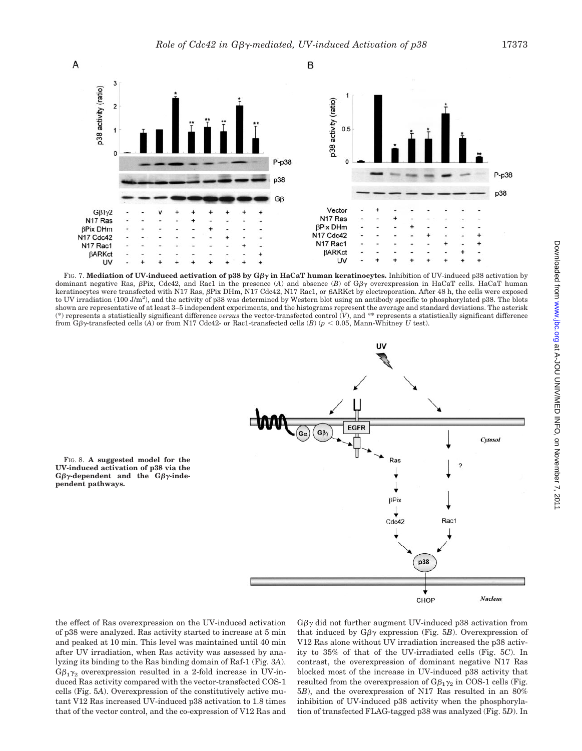

FIG. 7. **Mediation of UV-induced activation of p38 by Gβγ in HaCaT human keratinocytes. Inhibition of UV-induced p38 activation by** dominant negative Ras,  $\beta$ Pix, Cdc42, and Rac1 in the presence (A) and absence (B) of  $G\beta\gamma$  overexpression in HaCaT cells. HaCaT human keratinocytes were transfected with N17 Ras, βPix DHm, N17 Cdc42, N17 Rac1, or βARKct by electroporation. After 48 h, the cells were exposed to UV irradiation (100 J/m<sup>2</sup>), and the activity of p38 was determined by Western blot using an antibody specific to phosphorylated p38. The blots shown are representative of at least 3–5 independent experiments, and the histograms represent the average and standard deviations. The asterisk (\*) represents a statistically significant difference *versus* the vector-transfected control (*V*), and \*\* represents a statistically significant difference from G $\beta\gamma$ -transfected cells (A) or from N17 Cdc42- or Rac1-transfected cells (B) ( $p < 0.05$ , Mann-Whitney U test).



FIG. 8. **A suggested model for the UV-induced activation of p38 via the**  $G\beta\gamma$ -dependent and the  $G\beta\gamma$ -inde**pendent pathways.**

the effect of Ras overexpression on the UV-induced activation of p38 were analyzed. Ras activity started to increase at 5 min and peaked at 10 min. This level was maintained until 40 min after UV irradiation, when Ras activity was assessed by analyzing its binding to the Ras binding domain of Raf-1 (Fig. 3*A*).  $G\beta_1\gamma_2$  overexpression resulted in a 2-fold increase in UV-induced Ras activity compared with the vector-transfected COS-1 cells (Fig. 5*A*). Overexpression of the constitutively active mutant V12 Ras increased UV-induced p38 activation to 1.8 times that of the vector control, and the co-expression of V12 Ras and

 $G\beta\gamma$  did not further augment UV-induced p38 activation from that induced by  $G\beta\gamma$  expression (Fig. 5B). Overexpression of V12 Ras alone without UV irradiation increased the p38 activity to 35% of that of the UV-irradiated cells (Fig. 5*C*). In contrast, the overexpression of dominant negative N17 Ras blocked most of the increase in UV-induced p38 activity that resulted from the overexpression of  $G\beta_1\gamma_2$  in COS-1 cells (Fig. 5*B*), and the overexpression of N17 Ras resulted in an 80% inhibition of UV-induced p38 activity when the phosphorylation of transfected FLAG-tagged p38 was analyzed (Fig. 5*D*). In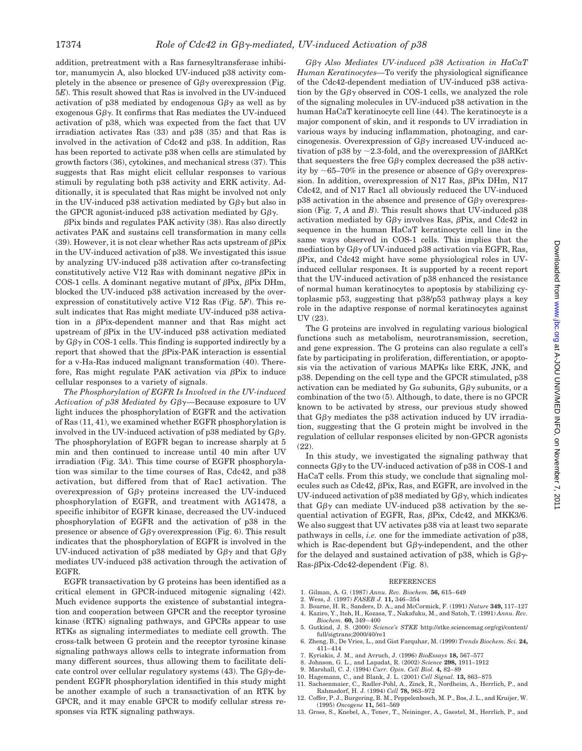addition, pretreatment with a Ras farnesyltransferase inhibitor, manumycin A, also blocked UV-induced p38 activity completely in the absence or presence of  $G\beta\gamma$  overexpression (Fig. 5*E*). This result showed that Ras is involved in the UV-induced activation of p38 mediated by endogenous  $G\beta\gamma$  as well as by exogenous  $G\beta\gamma$ . It confirms that Ras mediates the UV-induced activation of p38, which was expected from the fact that UV irradiation activates Ras (33) and p38 (35) and that Ras is involved in the activation of Cdc42 and p38. In addition, Ras has been reported to activate p38 when cells are stimulated by growth factors (36), cytokines, and mechanical stress (37). This suggests that Ras might elicit cellular responses to various stimuli by regulating both p38 activity and ERK activity. Additionally, it is speculated that Ras might be involved not only in the UV-induced p38 activation mediated by G $\beta\gamma$  but also in the GPCR agonist-induced p38 activation mediated by  $G\beta\gamma$ .

 $\beta$ Pix binds and regulates PAK activity (38). Ras also directly activates PAK and sustains cell transformation in many cells (39). However, it is not clear whether Ras acts upstream of  $\beta$ Pix in the UV-induced activation of p38. We investigated this issue by analyzing UV-induced p38 activation after co-transfecting constitutively active V12 Ras with dominant negative  $\beta$ Pix in COS-1 cells. A dominant negative mutant of  $\beta$ Pix,  $\beta$ Pix DHm, blocked the UV-induced p38 activation increased by the overexpression of constitutively active V12 Ras (Fig. 5*F*). This result indicates that Ras might mediate UV-induced p38 activation in a  $\beta$ Pix-dependent manner and that Ras might act upstream of  $\beta$ Pix in the UV-induced p38 activation mediated by  $G\beta\gamma$  in COS-1 cells. This finding is supported indirectly by a report that showed that the  $\beta$ Pix-PAK interaction is essential for a v-Ha-Ras induced malignant transformation (40). Therefore, Ras might regulate PAK activation via  $\beta$ Pix to induce cellular responses to a variety of signals.

*The Phosphorylation of EGFR Is Involved in the UV-induced Activation of p38 Mediated by Gβγ*—Because exposure to UV light induces the phosphorylation of EGFR and the activation of Ras (11, 41), we examined whether EGFR phosphorylation is involved in the UV-induced activation of p38 mediated by  $G\beta\gamma$ . The phosphorylation of EGFR began to increase sharply at 5 min and then continued to increase until 40 min after UV irradiation (Fig. 3*A*). This time course of EGFR phosphorylation was similar to the time courses of Ras, Cdc42, and p38 activation, but differed from that of Rac1 activation. The over expression of  $G\beta\gamma$  proteins increased the UV-induced phosphorylation of EGFR, and treatment with AG1478, a specific inhibitor of EGFR kinase, decreased the UV-induced phosphorylation of EGFR and the activation of p38 in the presence or absence of  $G\beta\gamma$  overexpression (Fig. 6). This result indicates that the phosphorylation of EGFR is involved in the UV-induced activation of p38 mediated by  $G\beta\gamma$  and that  $G\beta\gamma$ mediates UV-induced p38 activation through the activation of EGFR.

EGFR transactivation by G proteins has been identified as a critical element in GPCR-induced mitogenic signaling (42). Much evidence supports the existence of substantial integration and cooperation between GPCR and the receptor tyrosine kinase (RTK) signaling pathways, and GPCRs appear to use RTKs as signaling intermediates to mediate cell growth. The cross-talk between G protein and the receptor tyrosine kinase signaling pathways allows cells to integrate information from many different sources, thus allowing them to facilitate delicate control over cellular regulatory systems (43). The  $G\beta\gamma$ -dependent EGFR phosphorylation identified in this study might be another example of such a transactivation of an RTK by GPCR, and it may enable GPCR to modify cellular stress responses via RTK signaling pathways.

*G*- *Also Mediates UV-induced p38 Activation in HaCaT Human Keratinocytes—*To verify the physiological significance of the Cdc42-dependent mediation of UV-induced p38 activation by the  $G\beta\gamma$  observed in COS-1 cells, we analyzed the role of the signaling molecules in UV-induced p38 activation in the human HaCaT keratinocyte cell line (44). The keratinocyte is a major component of skin, and it responds to UV irradiation in various ways by inducing inflammation, photoaging, and carcinogenesis. Overexpression of  $G\beta\gamma$  increased UV-induced activation of p38 by  $\sim$  2.3-fold, and the overexpression of  $\beta$ ARKct that sequesters the free  $G\beta\gamma$  complex decreased the p38 activity by  $\sim$  65–70% in the presence or absence of G $\beta\gamma$  overexpression. In addition, overexpression of N17 Ras,  $\beta$ Pix DHm, N17 Cdc42, and of N17 Rac1 all obviously reduced the UV-induced p38 activation in the absence and presence of  $G\beta\gamma$  overexpression (Fig. 7, *A* and *B*). This result shows that UV-induced p38 activation mediated by  $G\beta\gamma$  involves Ras,  $\beta$ Pix, and Cdc42 in sequence in the human HaCaT keratinocyte cell line in the same ways observed in COS-1 cells. This implies that the mediation by  $G\beta\gamma$  of UV-induced p38 activation via EGFR, Ras, -Pix, and Cdc42 might have some physiological roles in UVinduced cellular responses. It is supported by a recent report that the UV-induced activation of p38 enhanced the resistance of normal human keratinocytes to apoptosis by stabilizing cytoplasmic p53, suggesting that p38/p53 pathway plays a key role in the adaptive response of normal keratinocytes against UV (23).

The G proteins are involved in regulating various biological functions such as metabolism, neurotransmission, secretion, and gene expression. The G proteins can also regulate a cell's fate by participating in proliferation, differentiation, or apoptosis via the activation of various MAPKs like ERK, JNK, and p38. Depending on the cell type and the GPCR stimulated, p38 activation can be mediated by  $G\alpha$  subunits,  $G\beta\gamma$  subunits, or a combination of the two (5). Although, to date, there is no GPCR known to be activated by stress, our previous study showed that  $G\beta\gamma$  mediates the p38 activation induced by UV irradiation, suggesting that the G protein might be involved in the regulation of cellular responses elicited by non-GPCR agonists (22).

In this study, we investigated the signaling pathway that connects  $G\beta\gamma$  to the UV-induced activation of p38 in COS-1 and HaCaT cells. From this study, we conclude that signaling molecules such as  $Cdc42$ ,  $\beta$ Pix, Ras, and EGFR, are involved in the UV-induced activation of p38 mediated by  $G\beta\gamma$ , which indicates that  $G\beta\gamma$  can mediate UV-induced p38 activation by the sequential activation of EGFR, Ras,  $\beta$ Pix, Cdc42, and MKK3/6. We also suggest that UV activates p38 via at least two separate pathways in cells, *i.e.* one for the immediate activation of p38, which is Rac-dependent but  $G\beta\gamma$ -independent, and the other for the delayed and sustained activation of p38, which is  $G\beta\gamma$ - $Ras- $\beta$ Pix-Cdc42-dependent (Fig. 8).$ 

#### REFERENCES

- 1. Gilman, A. G. (1987) *Annu. Rev. Biochem.* **56,** 615–649
- 2. Wess, J. (1997) *FASEB J.* **11,** 346–354
- 3. Bourne, H. R., Sanders, D. A., and McCormick, F. (1991) *Nature* **349,** 117–127 4. Kaziro, Y., Itoh, H., Kozasa, T., Nakafuku, M., and Satoh, T. (1991) *Annu. Rev.*
- *Biochem.* **60,** 349–400 5. Gutkind, J. S. (2000) *Science's STKE* http://stke.sciencemag.org/cgi/content/
- full/sigtrans;2000/40/re1
- 6. Zheng, B., De Vries, L., and Gist Farquhar, M. (1999) *Trends Biochem. Sci.* **24,** 411–414
- 7. Kyriakis, J. M., and Avruch, J. (1996) *BioEssays* **18,** 567–577
- 8. Johnson, G. L., and Lapadat, R. (2002) *Science* **298,** 1911–1912
- 9. Marshall, C. J. (1994) *Curr. Opin. Cell Biol.* **4,** 82–89
- 10. Hagemann, C., and Blank, J. L. (2001) *Cell Signal.* **13,** 863–875
- 11. Sachsenmaier, C., Radler-Pohl, A., Zinck, R., Nordheim, A., Herrlich, P., and Rahmsdorf, H. J. (1994) *Cell* **78,** 963–972
- 12. Coffer, P. J., Burgering, B. M., Peppelenbosch, M. P., Bos, J. L., and Kruijer, W. (1995) *Oncogene* **11,** 561–569
- 13. Gross, S., Knebel, A., Tenev, T., Neininger, A., Gaestel, M., Herrlich, P., and